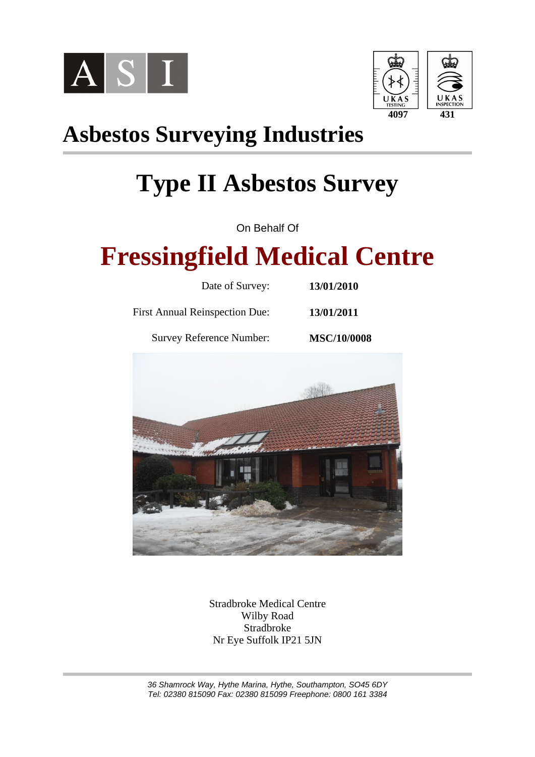



# **Asbestos Surveying Industries**

# **Type II Asbestos Survey**

On Behalf Of

# **Fressingfield Medical Centre**

| Date of Survey:                       | 13/01/2010         |
|---------------------------------------|--------------------|
| <b>First Annual Reinspection Due:</b> | 13/01/2011         |
| <b>Survey Reference Number:</b>       | <b>MSC/10/0008</b> |



Stradbroke Medical Centre Wilby Road Stradbroke Nr Eye Suffolk IP21 5JN

36 Shamrock Way, Hythe Marina, Hythe, Southampton, SO45 6DY Tel: 02380 815090 Fax: 02380 815099 Freephone: 0800 161 3384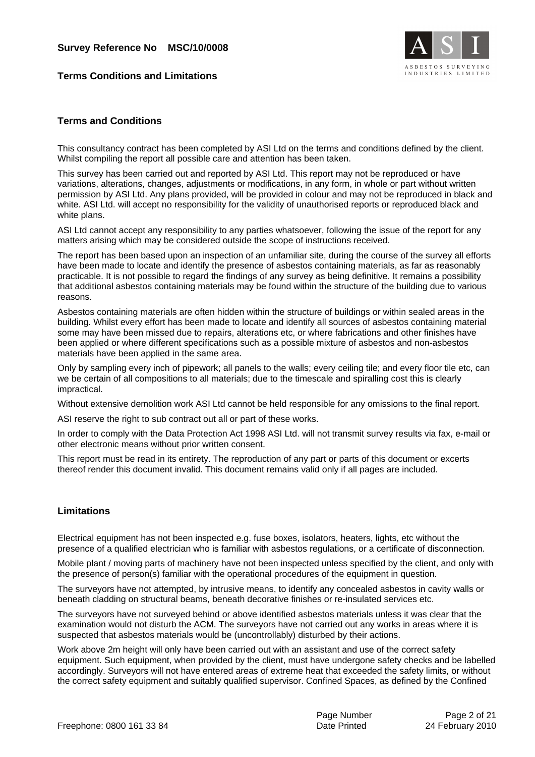

#### **Terms Conditions and Limitations**

#### **Terms and Conditions**

This consultancy contract has been completed by ASI Ltd on the terms and conditions defined by the client. Whilst compiling the report all possible care and attention has been taken.

This survey has been carried out and reported by ASI Ltd. This report may not be reproduced or have variations, alterations, changes, adjustments or modifications, in any form, in whole or part without written permission by ASI Ltd. Any plans provided, will be provided in colour and may not be reproduced in black and white. ASI Ltd. will accept no responsibility for the validity of unauthorised reports or reproduced black and white plans.

ASI Ltd cannot accept any responsibility to any parties whatsoever, following the issue of the report for any matters arising which may be considered outside the scope of instructions received.

The report has been based upon an inspection of an unfamiliar site, during the course of the survey all efforts have been made to locate and identify the presence of asbestos containing materials, as far as reasonably practicable. It is not possible to regard the findings of any survey as being definitive. It remains a possibility that additional asbestos containing materials may be found within the structure of the building due to various reasons.

Asbestos containing materials are often hidden within the structure of buildings or within sealed areas in the building. Whilst every effort has been made to locate and identify all sources of asbestos containing material some may have been missed due to repairs, alterations etc, or where fabrications and other finishes have been applied or where different specifications such as a possible mixture of asbestos and non-asbestos materials have been applied in the same area.

Only by sampling every inch of pipework; all panels to the walls; every ceiling tile; and every floor tile etc, can we be certain of all compositions to all materials; due to the timescale and spiralling cost this is clearly impractical.

Without extensive demolition work ASI Ltd cannot be held responsible for any omissions to the final report.

ASI reserve the right to sub contract out all or part of these works.

In order to comply with the Data Protection Act 1998 ASI Ltd. will not transmit survey results via fax, e-mail or other electronic means without prior written consent.

This report must be read in its entirety. The reproduction of any part or parts of this document or excerts thereof render this document invalid. This document remains valid only if all pages are included.

#### **Limitations**

Electrical equipment has not been inspected e.g. fuse boxes, isolators, heaters, lights, etc without the presence of a qualified electrician who is familiar with asbestos regulations, or a certificate of disconnection.

Mobile plant / moving parts of machinery have not been inspected unless specified by the client, and only with the presence of person(s) familiar with the operational procedures of the equipment in question.

The surveyors have not attempted, by intrusive means, to identify any concealed asbestos in cavity walls or beneath cladding on structural beams, beneath decorative finishes or re-insulated services etc.

The surveyors have not surveyed behind or above identified asbestos materials unless it was clear that the examination would not disturb the ACM. The surveyors have not carried out any works in areas where it is suspected that asbestos materials would be (uncontrollably) disturbed by their actions.

Work above 2m height will only have been carried out with an assistant and use of the correct safety equipment. Such equipment, when provided by the client, must have undergone safety checks and be labelled accordingly. Surveyors will not have entered areas of extreme heat that exceeded the safety limits, or without the correct safety equipment and suitably qualified supervisor. Confined Spaces, as defined by the Confined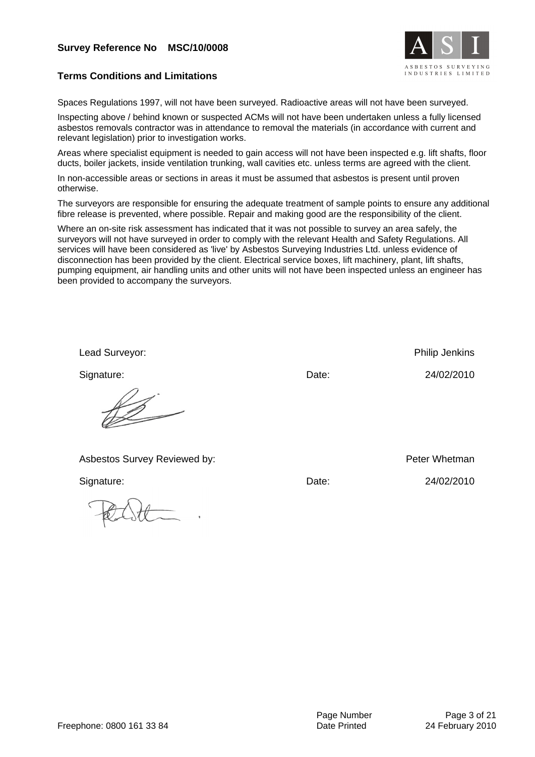

#### **Terms Conditions and Limitations**

Spaces Regulations 1997, will not have been surveyed. Radioactive areas will not have been surveyed.

Inspecting above / behind known or suspected ACMs will not have been undertaken unless a fully licensed asbestos removals contractor was in attendance to removal the materials (in accordance with current and relevant legislation) prior to investigation works.

Areas where specialist equipment is needed to gain access will not have been inspected e.g. lift shafts, floor ducts, boiler jackets, inside ventilation trunking, wall cavities etc. unless terms are agreed with the client.

In non-accessible areas or sections in areas it must be assumed that asbestos is present until proven otherwise.

The surveyors are responsible for ensuring the adequate treatment of sample points to ensure any additional fibre release is prevented, where possible. Repair and making good are the responsibility of the client.

Where an on-site risk assessment has indicated that it was not possible to survey an area safely, the surveyors will not have surveyed in order to comply with the relevant Health and Safety Regulations. All services will have been considered as 'live' by Asbestos Surveying Industries Ltd. unless evidence of disconnection has been provided by the client. Electrical service boxes, lift machinery, plant, lift shafts, pumping equipment, air handling units and other units will not have been inspected unless an engineer has been provided to accompany the surveyors.

| Lead Surveyor:               |       | Philip Jenkins |
|------------------------------|-------|----------------|
| Signature:                   | Date: | 24/02/2010     |
|                              |       |                |
| Asbestos Survey Reviewed by: |       | Peter Whetman  |
| Signature:                   | Date: | 24/02/2010     |
|                              |       |                |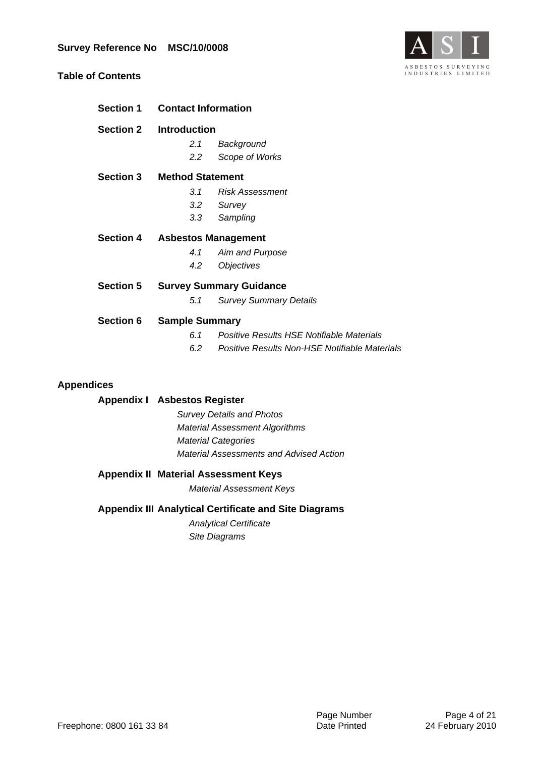

#### **Table of Contents**

| <b>Section 1</b> | <b>Contact Information</b>           |                                               |  |
|------------------|--------------------------------------|-----------------------------------------------|--|
| <b>Section 2</b> | <b>Introduction</b>                  |                                               |  |
|                  | 2.1                                  | Background                                    |  |
|                  | 2.2                                  | Scope of Works                                |  |
| <b>Section 3</b> | <b>Method Statement</b>              |                                               |  |
|                  | 3.1                                  | <b>Risk Assessment</b>                        |  |
|                  | 3.2                                  | Survey                                        |  |
|                  | 3.3                                  | Sampling                                      |  |
|                  | <b>Section 4 Asbestos Management</b> |                                               |  |
|                  | 4.1                                  | Aim and Purpose                               |  |
|                  | 4.2                                  | <i><b>Objectives</b></i>                      |  |
| <b>Section 5</b> |                                      | <b>Survey Summary Guidance</b>                |  |
|                  | 5.1                                  | <b>Survey Summary Details</b>                 |  |
| <b>Section 6</b> | <b>Sample Summary</b>                |                                               |  |
|                  | 6.1                                  | Positive Results HSE Notifiable Materials     |  |
|                  | 6.2                                  | Positive Results Non-HSE Notifiable Materials |  |
|                  |                                      |                                               |  |

#### **Appendices**

#### **Appendix I Asbestos Register**

Survey Details and Photos Material Assessment Algorithms Material Categories Material Assessments and Advised Action

#### **Appendix II Material Assessment Keys**

Material Assessment Keys

#### **Appendix III Analytical Certificate and Site Diagrams**

Analytical Certificate Site Diagrams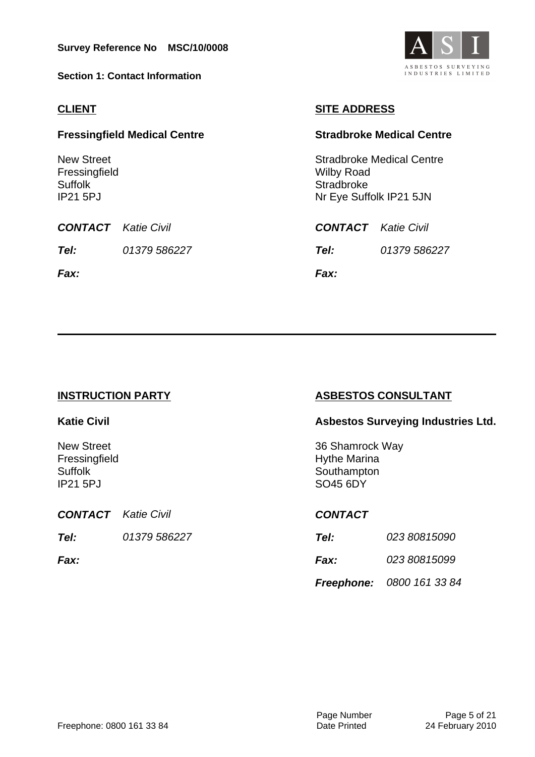**Section 1: Contact Information**

#### **CLIENT**

#### **Fressingfield Medical Centre**

New Street Fressingfield Suffolk IP21 5PJ

**CONTACT** Katie Civil **Tel:** 01379 586227

**Fax:**

### **SITE ADDRESS**

#### **Stradbroke Medical Centre**

Stradbroke Medical Centre Wilby Road **Stradbroke** Nr Eye Suffolk IP21 5JN

**CONTACT** Katie Civil

**Tel:** 01379 586227

**Fax:**

#### **INSTRUCTION PARTY**

#### **Katie Civil**

New Street **Fressingfield Suffolk** IP21 5PJ

**CONTACT** Katie Civil **Tel:** 01379 586227

**Fax:**

#### **ASBESTOS CONSULTANT**

#### **Asbestos Surveying Industries Ltd.**

36 Shamrock Way Hythe Marina **Southampton** SO45 6DY

#### **CONTACT**

| <i>Tel:</i> | <i>023 80815090</i>       |
|-------------|---------------------------|
| <i>Fax:</i> | <i>023 80815099</i>       |
|             | Freephone: 0800 161 33 84 |

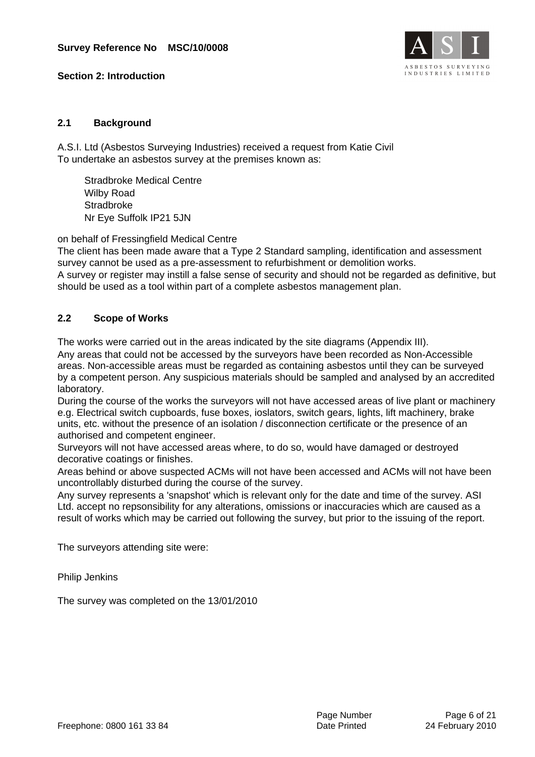

#### **Section 2: Introduction**

#### **2.1 Background**

A.S.I. Ltd (Asbestos Surveying Industries) received a request from Katie Civil To undertake an asbestos survey at the premises known as:

Stradbroke Medical Centre Wilby Road **Stradbroke** Nr Eye Suffolk IP21 5JN

on behalf of Fressingfield Medical Centre

The client has been made aware that a Type 2 Standard sampling, identification and assessment survey cannot be used as a pre-assessment to refurbishment or demolition works.

A survey or register may instill a false sense of security and should not be regarded as definitive, but should be used as a tool within part of a complete asbestos management plan.

#### **2.2 Scope of Works**

The works were carried out in the areas indicated by the site diagrams (Appendix III).

Any areas that could not be accessed by the surveyors have been recorded as Non-Accessible areas. Non-accessible areas must be regarded as containing asbestos until they can be surveyed by a competent person. Any suspicious materials should be sampled and analysed by an accredited laboratory.

During the course of the works the surveyors will not have accessed areas of live plant or machinery e.g. Electrical switch cupboards, fuse boxes, ioslators, switch gears, lights, lift machinery, brake units, etc. without the presence of an isolation / disconnection certificate or the presence of an authorised and competent engineer.

Surveyors will not have accessed areas where, to do so, would have damaged or destroyed decorative coatings or finishes.

Areas behind or above suspected ACMs will not have been accessed and ACMs will not have been uncontrollably disturbed during the course of the survey.

Any survey represents a 'snapshot' which is relevant only for the date and time of the survey. ASI Ltd. accept no repsonsibility for any alterations, omissions or inaccuracies which are caused as a result of works which may be carried out following the survey, but prior to the issuing of the report.

The surveyors attending site were:

Philip Jenkins

The survey was completed on the 13/01/2010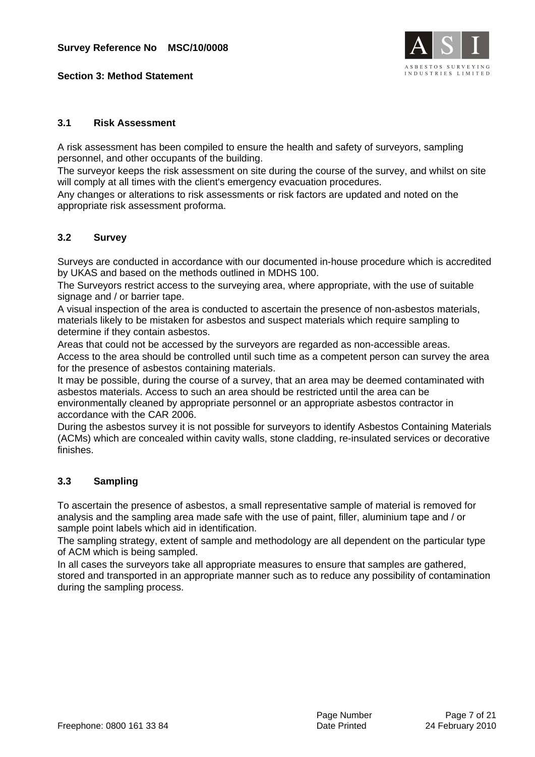

#### **Section 3: Method Statement**

#### **3.1 Risk Assessment**

A risk assessment has been compiled to ensure the health and safety of surveyors, sampling personnel, and other occupants of the building.

The surveyor keeps the risk assessment on site during the course of the survey, and whilst on site will comply at all times with the client's emergency evacuation procedures.

Any changes or alterations to risk assessments or risk factors are updated and noted on the appropriate risk assessment proforma.

#### **3.2 Survey**

Surveys are conducted in accordance with our documented in-house procedure which is accredited by UKAS and based on the methods outlined in MDHS 100.

The Surveyors restrict access to the surveying area, where appropriate, with the use of suitable signage and / or barrier tape.

A visual inspection of the area is conducted to ascertain the presence of non-asbestos materials, materials likely to be mistaken for asbestos and suspect materials which require sampling to determine if they contain asbestos.

Areas that could not be accessed by the surveyors are regarded as non-accessible areas. Access to the area should be controlled until such time as a competent person can survey the area for the presence of asbestos containing materials.

It may be possible, during the course of a survey, that an area may be deemed contaminated with asbestos materials. Access to such an area should be restricted until the area can be environmentally cleaned by appropriate personnel or an appropriate asbestos contractor in accordance with the CAR 2006.

During the asbestos survey it is not possible for surveyors to identify Asbestos Containing Materials (ACMs) which are concealed within cavity walls, stone cladding, re-insulated services or decorative finishes.

#### **3.3 Sampling**

To ascertain the presence of asbestos, a small representative sample of material is removed for analysis and the sampling area made safe with the use of paint, filler, aluminium tape and / or sample point labels which aid in identification.

The sampling strategy, extent of sample and methodology are all dependent on the particular type of ACM which is being sampled.

In all cases the surveyors take all appropriate measures to ensure that samples are gathered, stored and transported in an appropriate manner such as to reduce any possibility of contamination during the sampling process.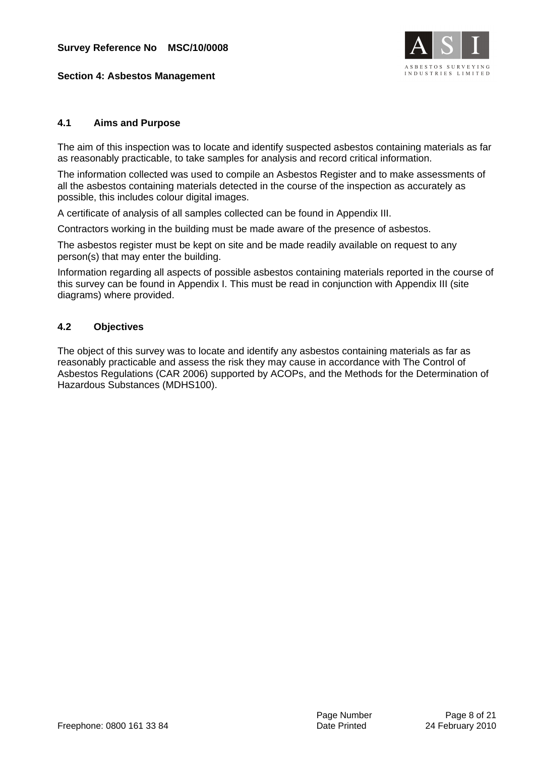

#### **Section 4: Asbestos Management**

#### **4.1 Aims and Purpose**

The aim of this inspection was to locate and identify suspected asbestos containing materials as far as reasonably practicable, to take samples for analysis and record critical information.

The information collected was used to compile an Asbestos Register and to make assessments of all the asbestos containing materials detected in the course of the inspection as accurately as possible, this includes colour digital images.

A certificate of analysis of all samples collected can be found in Appendix III.

Contractors working in the building must be made aware of the presence of asbestos.

The asbestos register must be kept on site and be made readily available on request to any person(s) that may enter the building.

Information regarding all aspects of possible asbestos containing materials reported in the course of this survey can be found in Appendix I. This must be read in conjunction with Appendix III (site diagrams) where provided.

#### **4.2 Objectives**

The object of this survey was to locate and identify any asbestos containing materials as far as reasonably practicable and assess the risk they may cause in accordance with The Control of Asbestos Regulations (CAR 2006) supported by ACOPs, and the Methods for the Determination of Hazardous Substances (MDHS100).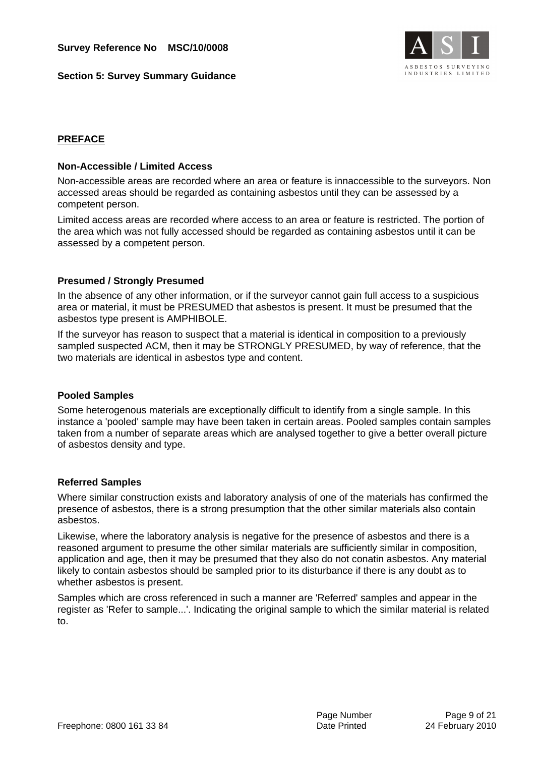

#### **Section 5: Survey Summary Guidance**

#### **PREFACE**

#### **Non-Accessible / Limited Access**

Non-accessible areas are recorded where an area or feature is innaccessible to the surveyors. Non accessed areas should be regarded as containing asbestos until they can be assessed by a competent person.

Limited access areas are recorded where access to an area or feature is restricted. The portion of the area which was not fully accessed should be regarded as containing asbestos until it can be assessed by a competent person.

#### **Presumed / Strongly Presumed**

In the absence of any other information, or if the surveyor cannot gain full access to a suspicious area or material, it must be PRESUMED that asbestos is present. It must be presumed that the asbestos type present is AMPHIBOLE.

If the surveyor has reason to suspect that a material is identical in composition to a previously sampled suspected ACM, then it may be STRONGLY PRESUMED, by way of reference, that the two materials are identical in asbestos type and content.

#### **Pooled Samples**

Some heterogenous materials are exceptionally difficult to identify from a single sample. In this instance a 'pooled' sample may have been taken in certain areas. Pooled samples contain samples taken from a number of separate areas which are analysed together to give a better overall picture of asbestos density and type.

#### **Referred Samples**

Where similar construction exists and laboratory analysis of one of the materials has confirmed the presence of asbestos, there is a strong presumption that the other similar materials also contain asbestos.

Likewise, where the laboratory analysis is negative for the presence of asbestos and there is a reasoned argument to presume the other similar materials are sufficiently similar in composition, application and age, then it may be presumed that they also do not conatin asbestos. Any material likely to contain asbestos should be sampled prior to its disturbance if there is any doubt as to whether asbestos is present.

Samples which are cross referenced in such a manner are 'Referred' samples and appear in the register as 'Refer to sample...'. Indicating the original sample to which the similar material is related to.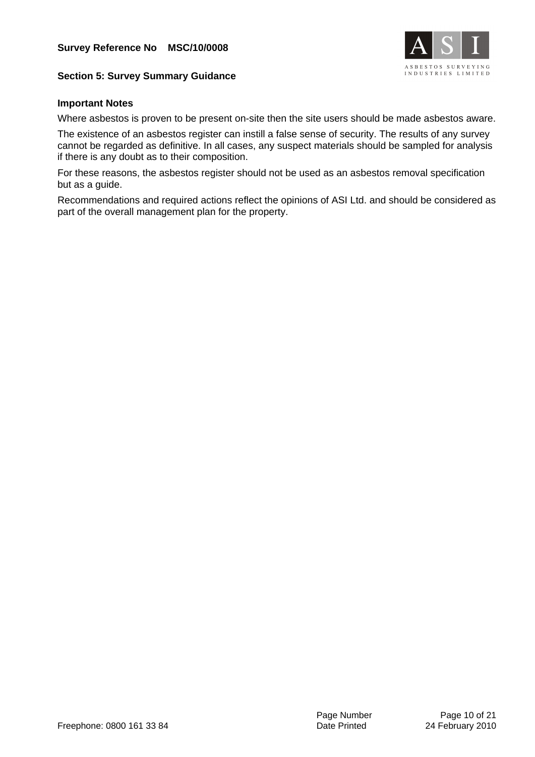

#### **Section 5: Survey Summary Guidance**

#### **Important Notes**

Where asbestos is proven to be present on-site then the site users should be made asbestos aware.

The existence of an asbestos register can instill a false sense of security. The results of any survey cannot be regarded as definitive. In all cases, any suspect materials should be sampled for analysis if there is any doubt as to their composition.

For these reasons, the asbestos register should not be used as an asbestos removal specification but as a guide.

Recommendations and required actions reflect the opinions of ASI Ltd. and should be considered as part of the overall management plan for the property.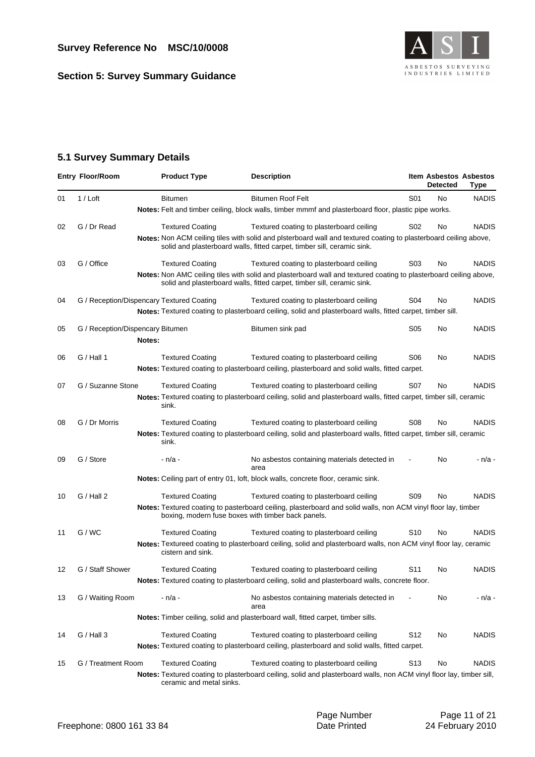**Section 5: Survey Summary Guidance**



#### **5.1 Survey Summary Details**

|    | <b>Entry Floor/Room</b>          |        | <b>Product Type</b>                                | <b>Description</b>                                                                                                                                                                           |                  | <b>Detected</b> | <b>Item Asbestos Asbestos</b><br>Type |
|----|----------------------------------|--------|----------------------------------------------------|----------------------------------------------------------------------------------------------------------------------------------------------------------------------------------------------|------------------|-----------------|---------------------------------------|
| 01 | $1 /$ Loft                       |        | <b>Bitumen</b>                                     | <b>Bitumen Roof Felt</b>                                                                                                                                                                     | S01              | No              | <b>NADIS</b>                          |
|    |                                  |        |                                                    | <b>Notes:</b> Felt and timber ceiling, block walls, timber mmmf and plasterboard floor, plastic pipe works.                                                                                  |                  |                 |                                       |
| 02 | G / Dr Read                      |        | <b>Textured Coating</b>                            | Textured coating to plasterboard ceiling                                                                                                                                                     | S <sub>02</sub>  | No              | <b>NADIS</b>                          |
|    |                                  |        |                                                    | Notes: Non ACM ceiling tiles with solid and plsterboard wall and textured coating to plasterboard ceiling above,<br>solid and plasterboard walls, fitted carpet, timber sill, ceramic sink.  |                  |                 |                                       |
| 03 | G / Office                       |        | <b>Textured Coating</b>                            | Textured coating to plasterboard ceiling                                                                                                                                                     | S <sub>0</sub> 3 | No              | <b>NADIS</b>                          |
|    |                                  |        |                                                    | Notes: Non AMC ceiling tiles with solid and plasterboard wall and textured coating to plasterboard ceiling above,<br>solid and plasterboard walls, fitted carpet, timber sill, ceramic sink. |                  |                 |                                       |
| 04 |                                  |        | G / Reception/Dispencary Textured Coating          | Textured coating to plasterboard ceiling                                                                                                                                                     | S04              | No              | <b>NADIS</b>                          |
|    |                                  |        |                                                    | <b>Notes:</b> Textured coating to plasterboard ceiling, solid and plasterboard walls, fitted carpet, timber sill.                                                                            |                  |                 |                                       |
| 05 | G / Reception/Dispencary Bitumen |        |                                                    | Bitumen sink pad                                                                                                                                                                             | S <sub>05</sub>  | No              | <b>NADIS</b>                          |
|    |                                  | Notes: |                                                    |                                                                                                                                                                                              |                  |                 |                                       |
| 06 | G / Hall 1                       |        | <b>Textured Coating</b>                            | Textured coating to plasterboard ceiling                                                                                                                                                     | S06              | No              | <b>NADIS</b>                          |
|    |                                  |        |                                                    | Notes: Textured coating to plasterboard ceiling, plasterboard and solid walls, fitted carpet.                                                                                                |                  |                 |                                       |
| 07 | G / Suzanne Stone                |        | <b>Textured Coating</b>                            | Textured coating to plasterboard ceiling                                                                                                                                                     | S07              | No              | <b>NADIS</b>                          |
|    |                                  |        | sink.                                              | <b>Notes:</b> Textured coating to plasterboard ceiling, solid and plasterboard walls, fitted carpet, timber sill, ceramic                                                                    |                  |                 |                                       |
| 08 | G / Dr Morris                    |        | <b>Textured Coating</b>                            | Textured coating to plasterboard ceiling                                                                                                                                                     | S <sub>08</sub>  | No              | <b>NADIS</b>                          |
|    |                                  |        | sink.                                              | Notes: Textured coating to plasterboard ceiling, solid and plasterboard walls, fitted carpet, timber sill, ceramic                                                                           |                  |                 |                                       |
| 09 | G / Store                        |        | - n/a -                                            | No asbestos containing materials detected in<br>area                                                                                                                                         |                  | No              | - n/a -                               |
|    |                                  |        |                                                    | <b>Notes:</b> Ceiling part of entry 01, loft, block walls, concrete floor, ceramic sink.                                                                                                     |                  |                 |                                       |
| 10 | G / Hall 2                       |        | <b>Textured Coating</b>                            | Textured coating to plasterboard ceiling                                                                                                                                                     | S <sub>09</sub>  | No              | <b>NADIS</b>                          |
|    |                                  |        | boxing, modern fuse boxes with timber back panels. | Notes: Textured coating to pasterboard ceiling, plasterboard and solid walls, non ACM vinyl floor lay, timber                                                                                |                  |                 |                                       |
| 11 | G/WC                             |        | <b>Textured Coating</b>                            | Textured coating to plasterboard ceiling                                                                                                                                                     | S <sub>10</sub>  | No              | <b>NADIS</b>                          |
|    |                                  |        | cistern and sink.                                  | Notes: Textureed coating to plasterboard ceiling, solid and plasterboard walls, non ACM vinyl floor lay, ceramic                                                                             |                  |                 |                                       |
| 12 | G / Staff Shower                 |        | <b>Textured Coating</b>                            | Textured coating to plasterboard ceiling                                                                                                                                                     | S11              | No              | <b>NADIS</b>                          |
|    |                                  |        |                                                    | Notes: Textured coating to plasterboard ceiling, solid and plasterboard walls, concrete floor.                                                                                               |                  |                 |                                       |
| 13 | G / Waiting Room                 |        | - n/a -                                            | No asbestos containing materials detected in<br>area                                                                                                                                         |                  | No              | - n/a -                               |
|    |                                  |        |                                                    | Notes: Timber ceiling, solid and plasterboard wall, fitted carpet, timber sills.                                                                                                             |                  |                 |                                       |
| 14 | G / Hall 3                       |        | <b>Textured Coating</b>                            | Textured coating to plasterboard ceiling                                                                                                                                                     | S <sub>12</sub>  | No              | <b>NADIS</b>                          |
|    |                                  |        |                                                    | Notes: Textured coating to plasterboard ceiling, plasterboard and solid walls, fitted carpet.                                                                                                |                  |                 |                                       |
| 15 | G / Treatment Room               |        | <b>Textured Coating</b>                            | Textured coating to plasterboard ceiling                                                                                                                                                     | S13              | No              | <b>NADIS</b>                          |
|    |                                  |        | ceramic and metal sinks.                           | Notes: Textured coating to plasterboard ceiling, solid and plasterboard walls, non ACM vinyl floor lay, timber sill,                                                                         |                  |                 |                                       |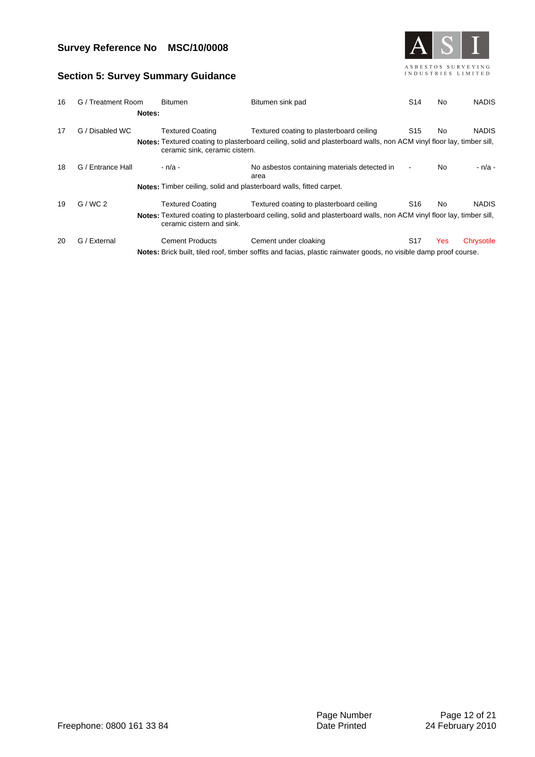

#### **Section 5: Survey Summary Guidance**

| 16 | G / Treatment Room  | <b>Bitumen</b>                 | Bitumen sink pad                                                                                                     | S <sub>14</sub> | No. | <b>NADIS</b> |
|----|---------------------|--------------------------------|----------------------------------------------------------------------------------------------------------------------|-----------------|-----|--------------|
|    | Notes:              |                                |                                                                                                                      |                 |     |              |
| 17 | ' Disabled WC<br>G, | <b>Textured Coating</b>        | Textured coating to plasterboard ceiling                                                                             | S <sub>15</sub> | No. | <b>NADIS</b> |
|    |                     | ceramic sink, ceramic cistern. | Notes: Textured coating to plasterboard ceiling, solid and plasterboard walls, non ACM vinyl floor lay, timber sill, |                 |     |              |
| 18 | G / Entrance Hall   | - n/a -                        | No asbestos containing materials detected in<br>area                                                                 |                 | No  | - n/a -      |
|    |                     |                                | Notes: Timber ceiling, solid and plasterboard walls, fitted carpet.                                                  |                 |     |              |
| 19 | G/WC2               | <b>Textured Coating</b>        | Textured coating to plasterboard ceiling                                                                             | S <sub>16</sub> | No  | <b>NADIS</b> |
|    |                     | ceramic cistern and sink.      | Notes: Textured coating to plasterboard ceiling, solid and plasterboard walls, non ACM vinyl floor lay, timber sill, |                 |     |              |
| 20 | G / External        | <b>Cement Products</b>         | Cement under cloaking                                                                                                | S <sub>17</sub> | Yes | Chrysotile   |
|    |                     |                                | Notes: Brick built, tiled roof, timber soffits and facias, plastic rainwater goods, no visible damp proof course.    |                 |     |              |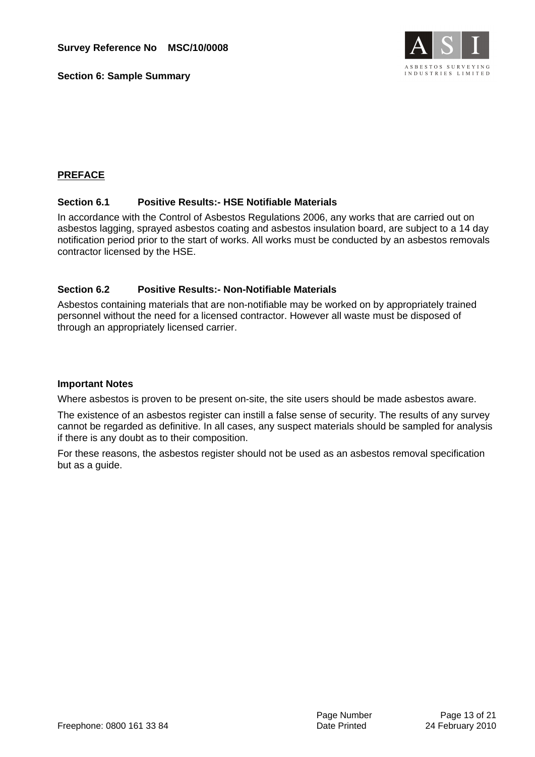**Section 6: Sample Summary**



#### **PREFACE**

#### **Section 6.1 Positive Results:- HSE Notifiable Materials**

In accordance with the Control of Asbestos Regulations 2006, any works that are carried out on asbestos lagging, sprayed asbestos coating and asbestos insulation board, are subject to a 14 day notification period prior to the start of works. All works must be conducted by an asbestos removals contractor licensed by the HSE.

#### **Section 6.2 Positive Results:- Non-Notifiable Materials**

Asbestos containing materials that are non-notifiable may be worked on by appropriately trained personnel without the need for a licensed contractor. However all waste must be disposed of through an appropriately licensed carrier.

#### **Important Notes**

Where asbestos is proven to be present on-site, the site users should be made asbestos aware.

The existence of an asbestos register can instill a false sense of security. The results of any survey cannot be regarded as definitive. In all cases, any suspect materials should be sampled for analysis if there is any doubt as to their composition.

For these reasons, the asbestos register should not be used as an asbestos removal specification but as a guide.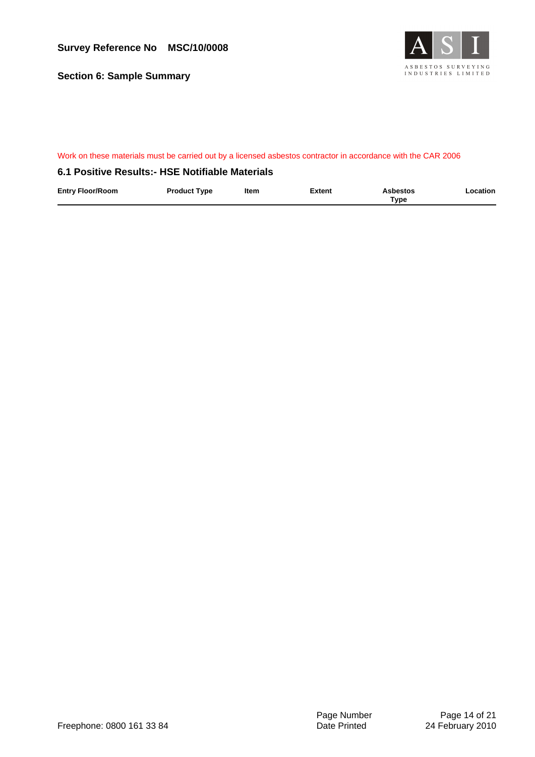**Section 6: Sample Summary**



#### Work on these materials must be carried out by a licensed asbestos contractor in accordance with the CAR 2006

#### **6.1 Positive Results:- HSE Notifiable Materials**

| <b>Entry Floor/Room</b> | <b>Product Type</b> | Item | <b>Extent</b> | <b>Asbestos</b> | Location |
|-------------------------|---------------------|------|---------------|-----------------|----------|
|                         |                     |      |               | Type            |          |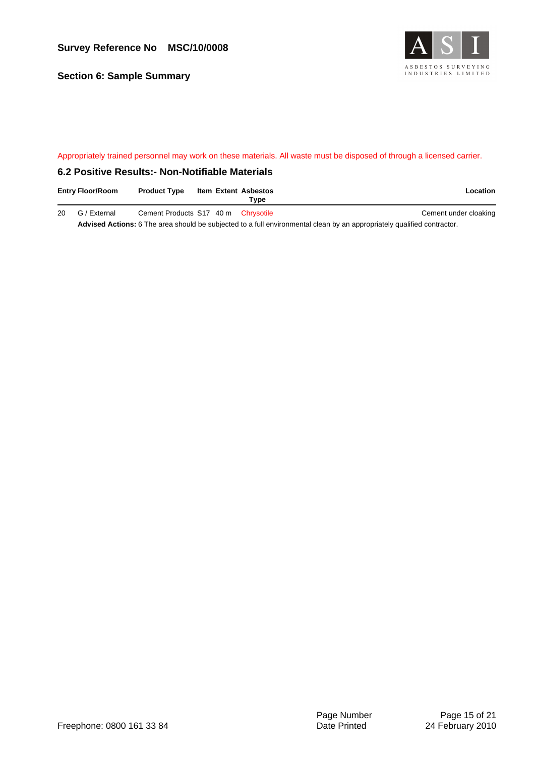**Section 6: Sample Summary**



#### Appropriately trained personnel may work on these materials. All waste must be disposed of through a licensed carrier.

#### **6.2 Positive Results:- Non-Notifiable Materials**

| <b>Entry Floor/Room</b> | <b>Product Type</b>                 | Item Extent Asbestos | Tvpe | Location              |
|-------------------------|-------------------------------------|----------------------|------|-----------------------|
| 20 G / External         | Cement Products S17 40 m Chrysotile |                      |      | Cement under cloaking |

**Advised Actions:** 6 The area should be subjected to a full environmental clean by an appropriately qualified contractor.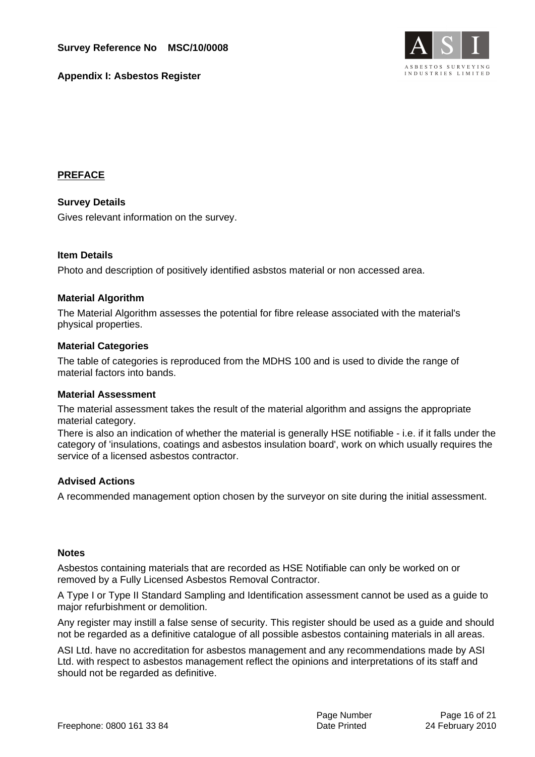

**Appendix I: Asbestos Register**

#### **PREFACE**

**Survey Details** Gives relevant information on the survey.

#### **Item Details**

Photo and description of positively identified asbstos material or non accessed area.

#### **Material Algorithm**

The Material Algorithm assesses the potential for fibre release associated with the material's physical properties.

#### **Material Categories**

The table of categories is reproduced from the MDHS 100 and is used to divide the range of material factors into bands.

#### **Material Assessment**

The material assessment takes the result of the material algorithm and assigns the appropriate material category.

There is also an indication of whether the material is generally HSE notifiable - i.e. if it falls under the category of 'insulations, coatings and asbestos insulation board', work on which usually requires the service of a licensed asbestos contractor.

#### **Advised Actions**

A recommended management option chosen by the surveyor on site during the initial assessment.

#### **Notes**

Asbestos containing materials that are recorded as HSE Notifiable can only be worked on or removed by a Fully Licensed Asbestos Removal Contractor.

A Type I or Type II Standard Sampling and Identification assessment cannot be used as a guide to major refurbishment or demolition.

Any register may instill a false sense of security. This register should be used as a guide and should not be regarded as a definitive catalogue of all possible asbestos containing materials in all areas.

ASI Ltd. have no accreditation for asbestos management and any recommendations made by ASI Ltd. with respect to asbestos management reflect the opinions and interpretations of its staff and should not be regarded as definitive.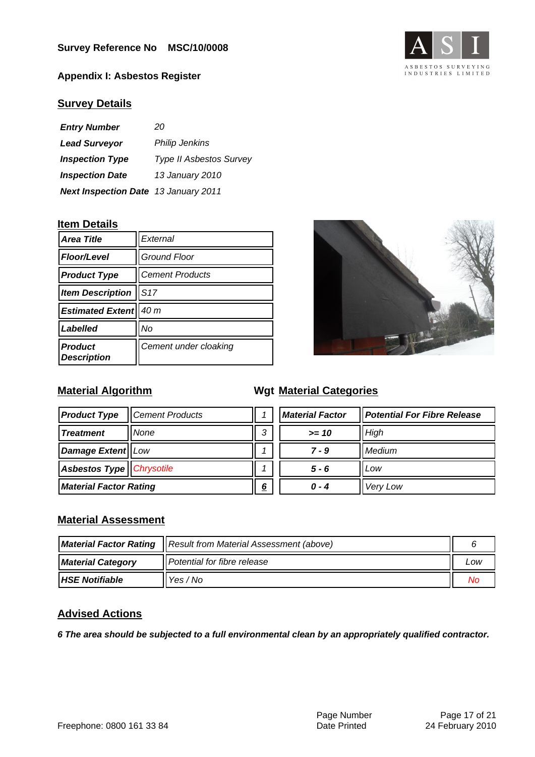**Appendix I: Asbestos Register**



#### **Survey Details**

| <b>Entry Number</b>                         | 20                             |
|---------------------------------------------|--------------------------------|
| <b>Lead Surveyor</b>                        | <b>Philip Jenkins</b>          |
| <b>Inspection Type</b>                      | <b>Type II Asbestos Survey</b> |
| <b>Inspection Date</b>                      | 13 January 2010                |
| <b>Next Inspection Date 13 January 2011</b> |                                |

#### **Item Details**

| <b>Area Title</b>                    | External               |  |
|--------------------------------------|------------------------|--|
| <b>Floor/Level</b>                   | <b>Ground Floor</b>    |  |
| <b>Product Type</b>                  | <b>Cement Products</b> |  |
| <b>Item Description</b>              | S17                    |  |
| <b>Estimated Extent</b>              | 40 m                   |  |
| Labelled                             | No                     |  |
| <b>Product</b><br><b>Description</b> | Cement under cloaking  |  |



## **Material Algorithm**

### **Material Categories**

| <b>Product Type</b>           | <b>Cement Products</b> |   |
|-------------------------------|------------------------|---|
| <b>Treatment</b>              | None                   | 3 |
| <b>Damage Extent   Low</b>    |                        |   |
| Asbestos Type   Chrysotile    |                        |   |
| <b>Material Factor Rating</b> |                        |   |

| <b>Material Factor</b> | Potential For Fibre Release |
|------------------------|-----------------------------|
| $>= 10$                | High                        |
| 7 - 9                  | Medium                      |
| 5 - 6                  | Low                         |
| ם - מ                  | Very Low                    |

#### **Material Assessment**

| <b>Material Factor Rating</b>   Result from Material Assessment (above) |                                |     |
|-------------------------------------------------------------------------|--------------------------------|-----|
| <b>Material Category</b>                                                | Il Potential for fibre release | LOW |
| <b>HSE Notifiable</b>                                                   | 'Yes / No                      | NΟ  |

#### **Advised Actions**

**6 The area should be subjected to a full environmental clean by an appropriately qualified contractor.**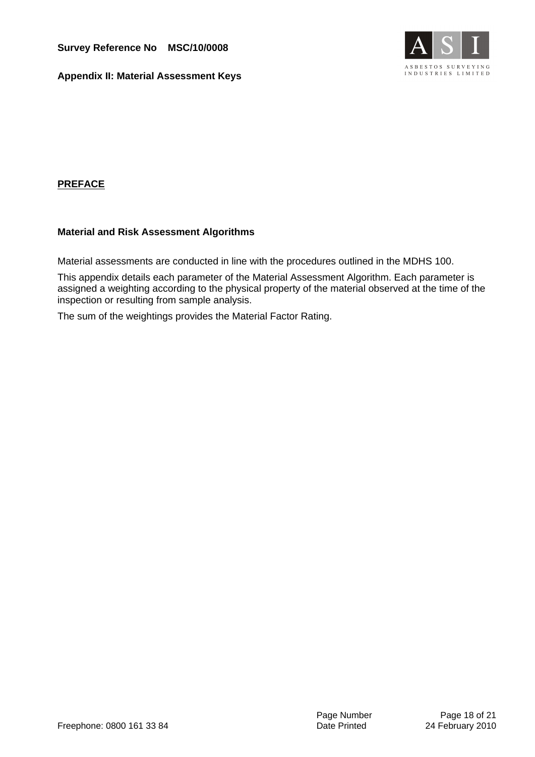**Appendix II: Material Assessment Keys**



#### **PREFACE**

#### **Material and Risk Assessment Algorithms**

Material assessments are conducted in line with the procedures outlined in the MDHS 100.

This appendix details each parameter of the Material Assessment Algorithm. Each parameter is assigned a weighting according to the physical property of the material observed at the time of the inspection or resulting from sample analysis.

The sum of the weightings provides the Material Factor Rating.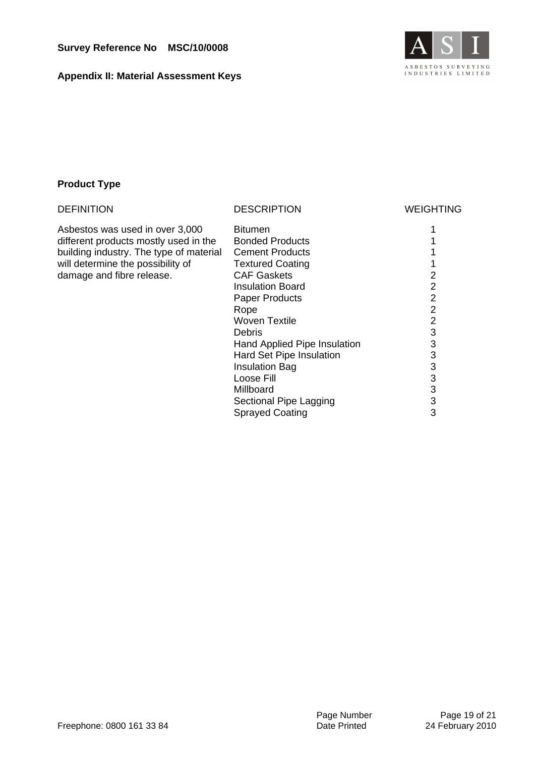**Appendix II: Material Assessment Keys**



#### **Product Type**

| <b>DEFINITION</b>                       | <b>DESCRIPTION</b>           | <b>WEIGHTING</b> |
|-----------------------------------------|------------------------------|------------------|
| Asbestos was used in over 3,000         | <b>Bitumen</b>               |                  |
| different products mostly used in the   | <b>Bonded Products</b>       |                  |
| building industry. The type of material | <b>Cement Products</b>       |                  |
| will determine the possibility of       | <b>Textured Coating</b>      |                  |
| damage and fibre release.               | <b>CAF Gaskets</b>           | 2                |
|                                         | Insulation Board             | 2                |
|                                         | <b>Paper Products</b>        | $\overline{2}$   |
|                                         | Rope                         | $\overline{2}$   |
|                                         | <b>Woven Textile</b>         | $\overline{2}$   |
|                                         | Debris                       | 3                |
|                                         | Hand Applied Pipe Insulation | 3                |
|                                         | Hard Set Pipe Insulation     | 3                |
|                                         | <b>Insulation Bag</b>        | 3                |
|                                         | Loose Fill                   | 3                |
|                                         | Millboard                    | 3                |
|                                         | Sectional Pipe Lagging       | 3                |
|                                         | <b>Sprayed Coating</b>       | 3                |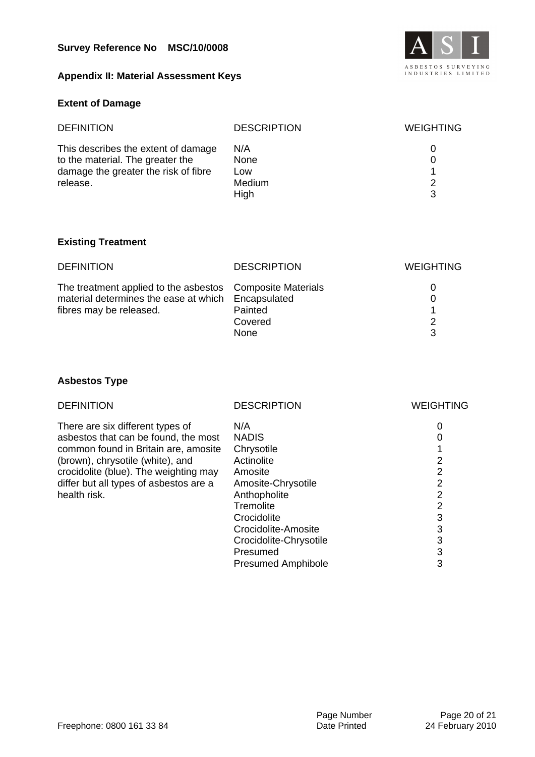#### **Appendix II: Material Assessment Keys**



#### **Extent of Damage**

| <b>DEFINITION</b>                                                                                                           | <b>DESCRIPTION</b>                   | <b>WEIGHTING</b> |
|-----------------------------------------------------------------------------------------------------------------------------|--------------------------------------|------------------|
| This describes the extent of damage<br>to the material. The greater the<br>damage the greater the risk of fibre<br>release. | N/A<br>None<br>Low<br>Medium<br>High | 0<br>2<br>3      |

#### **Existing Treatment**

| <b>DEFINITION</b>                                         | <b>DESCRIPTION</b> | <b>WEIGHTING</b> |
|-----------------------------------------------------------|--------------------|------------------|
| The treatment applied to the asbestos Composite Materials |                    | 0                |
| material determines the ease at which Encapsulated        |                    |                  |
| fibres may be released.                                   | Painted            |                  |
|                                                           | Covered            | $\mathcal{P}$    |
|                                                           | <b>None</b>        | 3                |

### **Asbestos Type**

| <b>DEFINITION</b>                      | <b>DESCRIPTION</b>        | <b>WEIGHTING</b> |
|----------------------------------------|---------------------------|------------------|
| There are six different types of       | N/A                       | 0                |
| asbestos that can be found, the most   | <b>NADIS</b>              | 0                |
| common found in Britain are, amosite   | Chrysotile                |                  |
| (brown), chrysotile (white), and       | Actinolite                | 2                |
| crocidolite (blue). The weighting may  | Amosite                   | 2                |
| differ but all types of asbestos are a | Amosite-Chrysotile        | 2                |
| health risk.                           | Anthopholite              | 2                |
|                                        | Tremolite                 | 2                |
|                                        | Crocidolite               | 3                |
|                                        | Crocidolite-Amosite       | 3                |
|                                        | Crocidolite-Chrysotile    | 3                |
|                                        | Presumed                  | 3                |
|                                        | <b>Presumed Amphibole</b> | 3                |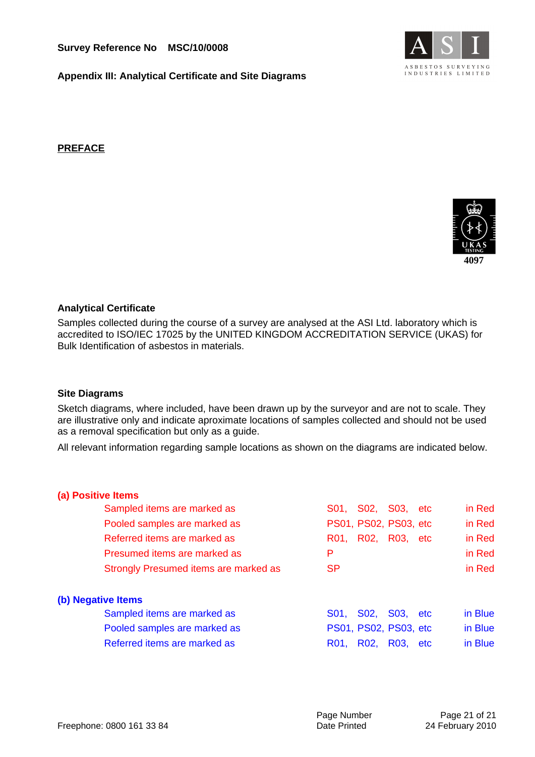

**Appendix III: Analytical Certificate and Site Diagrams**

**PREFACE**



#### **Analytical Certificate**

Samples collected during the course of a survey are analysed at the ASI Ltd. laboratory which is accredited to ISO/IEC 17025 by the UNITED KINGDOM ACCREDITATION SERVICE (UKAS) for Bulk Identification of asbestos in materials.

#### **Site Diagrams**

Sketch diagrams, where included, have been drawn up by the surveyor and are not to scale. They are illustrative only and indicate aproximate locations of samples collected and should not be used as a removal specification but only as a guide.

All relevant information regarding sample locations as shown on the diagrams are indicated below.

| (a) Positive Items |                                       |                       |                   |                       |     |         |
|--------------------|---------------------------------------|-----------------------|-------------------|-----------------------|-----|---------|
|                    | Sampled items are marked as           | S01.                  | S02, S03, etc     |                       |     | in Red  |
|                    | Pooled samples are marked as          | PS01, PS02, PS03, etc |                   |                       |     | in Red  |
|                    | Referred items are marked as          | R01.                  | R02, R03, etc     |                       |     | in Red  |
|                    | Presumed items are marked as          | P                     |                   |                       |     | in Red  |
|                    | Strongly Presumed items are marked as | <b>SP</b>             |                   |                       |     | in Red  |
| (b) Negative Items |                                       |                       |                   |                       |     |         |
|                    | Sampled items are marked as           | S01,                  | S02,              | S <sub>03</sub> , etc |     | in Blue |
|                    | Pooled samples are marked as          | PS01, PS02, PS03, etc |                   |                       |     | in Blue |
|                    | Referred items are marked as          | R01.                  | R <sub>02</sub> , | R <sub>03</sub> .     | etc | in Blue |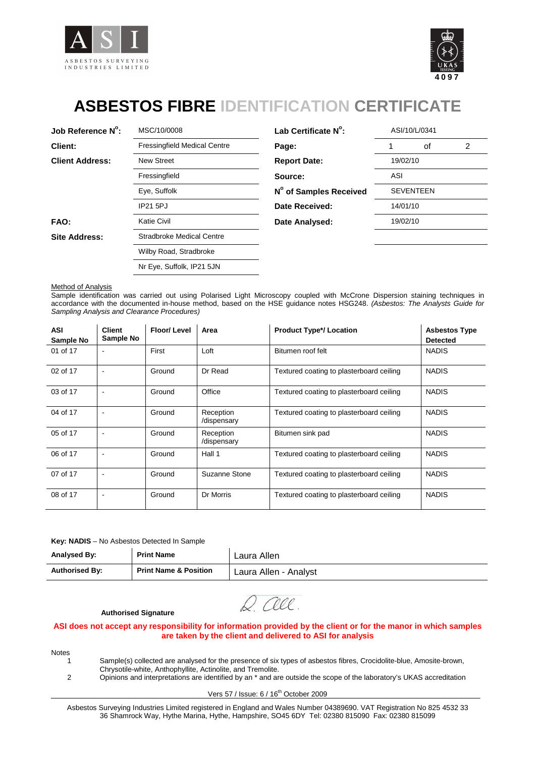



# **ASBESTOS FIBRE IDENTIFICATION CERTIFICATE**

| Job Reference N°:      | MSC/10/0008                         | Lab Certificate N°:    |            | ASI/10/L/0341    |   |
|------------------------|-------------------------------------|------------------------|------------|------------------|---|
| <b>Client:</b>         | <b>Fressingfield Medical Centre</b> | Page:                  |            | οf               | 2 |
| <b>Client Address:</b> | <b>New Street</b>                   | <b>Report Date:</b>    | 19/02/10   |                  |   |
|                        | Fressingfield                       | Source:                | <b>ASI</b> |                  |   |
|                        | Eye, Suffolk                        | N° of Samples Received |            | <b>SEVENTEEN</b> |   |
|                        | <b>IP21 5PJ</b>                     | Date Received:         | 14/01/10   |                  |   |
| FAO:                   | <b>Katie Civil</b>                  | Date Analysed:         | 19/02/10   |                  |   |
| <b>Site Address:</b>   | <b>Stradbroke Medical Centre</b>    |                        |            |                  |   |
|                        | Wilby Road, Stradbroke              |                        |            |                  |   |
|                        | Nr Eye, Suffolk, IP21 5JN           |                        |            |                  |   |

| MSC/10/0008                         | Lab Certificate N°:    |          | ASI/10/L/0341    |   |  |
|-------------------------------------|------------------------|----------|------------------|---|--|
| <b>Fressingfield Medical Centre</b> | Page:                  |          | οf               | 2 |  |
| <b>New Street</b>                   | <b>Report Date:</b>    | 19/02/10 |                  |   |  |
| Fressingfield                       | Source:                | ASI      |                  |   |  |
| Eye, Suffolk                        | N° of Samples Received |          | <b>SEVENTEEN</b> |   |  |
| <b>IP21 5PJ</b>                     | Date Received:         | 14/01/10 |                  |   |  |
| Katie Civil                         | Date Analysed:         | 19/02/10 |                  |   |  |
| _ _                                 |                        |          |                  |   |  |

**Method of Analysis** 

Sample identification was carried out using Polarised Light Microscopy coupled with McCrone Dispersion staining techniques in accordance with the documented in-house method, based on the HSE guidance notes HSG248. (Asbestos: The Analysts Guide for Sampling Analysis and Clearance Procedures)

| ASI<br>Sample No | <b>Client</b><br>Sample No | <b>Floor/Level</b> | Area                     | <b>Product Type*/ Location</b>           | <b>Asbestos Type</b><br><b>Detected</b> |
|------------------|----------------------------|--------------------|--------------------------|------------------------------------------|-----------------------------------------|
| 01 of 17         | $\overline{\phantom{a}}$   | First              | Loft                     | Bitumen roof felt                        | <b>NADIS</b>                            |
| 02 of 17         |                            | Ground             | Dr Read                  | Textured coating to plasterboard ceiling | <b>NADIS</b>                            |
| 03 of 17         |                            | Ground             | Office                   | Textured coating to plasterboard ceiling | <b>NADIS</b>                            |
| 04 of 17         | <b>.</b>                   | Ground             | Reception<br>/dispensary | Textured coating to plasterboard ceiling | <b>NADIS</b>                            |
| 05 of 17         |                            | Ground             | Reception<br>/dispensary | Bitumen sink pad                         | <b>NADIS</b>                            |
| 06 of 17         |                            | Ground             | Hall 1                   | Textured coating to plasterboard ceiling | <b>NADIS</b>                            |
| 07 of 17         |                            | Ground             | Suzanne Stone            | Textured coating to plasterboard ceiling | <b>NADIS</b>                            |
| 08 of 17         |                            | Ground             | Dr Morris                | Textured coating to plasterboard ceiling | <b>NADIS</b>                            |

#### **Key: NADIS** – No Asbestos Detected In Sample

| Analysed By:          | <b>Print Name</b>                | Laura Allen           |
|-----------------------|----------------------------------|-----------------------|
| <b>Authorised By:</b> | <b>Print Name &amp; Position</b> | Laura Allen - Analyst |

D rece

#### **Authorised Signature**

#### **ASI does not accept any responsibility for information provided by the client or for the manor in which samples are taken by the client and delivered to ASI for analysis**

Notes

1 Sample(s) collected are analysed for the presence of six types of asbestos fibres, Crocidolite-blue, Amosite-brown, Chrysotile-white, Anthophyllite, Actinolite, and Tremolite.

2 Opinions and interpretations are identified by an \* and are outside the scope of the laboratory's UKAS accreditation

Vers 57 / Issue: 6 / 16<sup>th</sup> October 2009

Asbestos Surveying Industries Limited registered in England and Wales Number 04389690. VAT Registration No 825 4532 33 36 Shamrock Way, Hythe Marina, Hythe, Hampshire, SO45 6DY Tel: 02380 815090 Fax: 02380 815099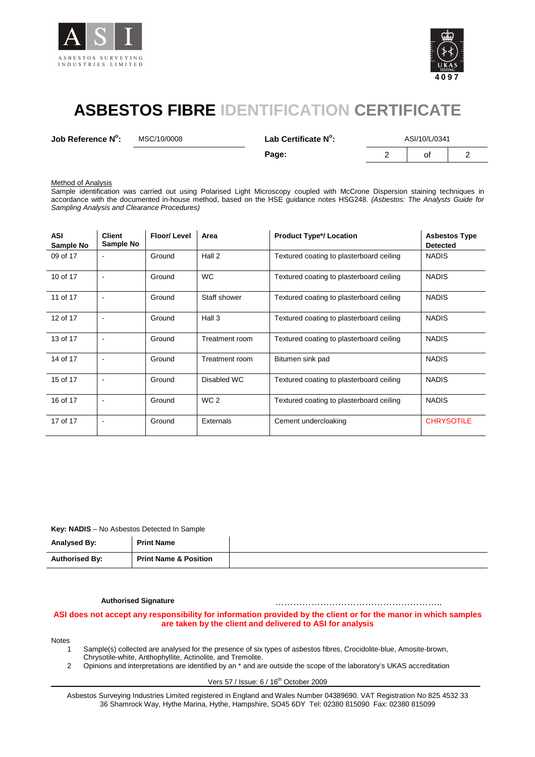



# **ASBESTOS FIBRE IDENTIFICATION CERTIFICATE**

**Job Reference N<sup>o</sup>**

**:** MSC/10/0008 **Lab Certificate N<sup>o</sup>**

**:** ASI/10/L/0341

**Page:** 2 of 2

**Method of Analysis** 

Sample identification was carried out using Polarised Light Microscopy coupled with McCrone Dispersion staining techniques in accordance with the documented in-house method, based on the HSE guidance notes HSG248. (Asbestos: The Analysts Guide for Sampling Analysis and Clearance Procedures)

| <b>ASI</b><br>Sample No | <b>Client</b><br>Sample No | Floor/Level | Area            | <b>Product Type*/ Location</b>           | <b>Asbestos Type</b><br><b>Detected</b> |
|-------------------------|----------------------------|-------------|-----------------|------------------------------------------|-----------------------------------------|
| 09 of 17                |                            | Ground      | Hall 2          | Textured coating to plasterboard ceiling | <b>NADIS</b>                            |
| 10 of 17                |                            | Ground      | <b>WC</b>       | Textured coating to plasterboard ceiling | <b>NADIS</b>                            |
| 11 of 17                | $\overline{a}$             | Ground      | Staff shower    | Textured coating to plasterboard ceiling | <b>NADIS</b>                            |
| 12 of 17                |                            | Ground      | Hall 3          | Textured coating to plasterboard ceiling | <b>NADIS</b>                            |
| 13 of 17                |                            | Ground      | Treatment room  | Textured coating to plasterboard ceiling | <b>NADIS</b>                            |
| 14 of 17                |                            | Ground      | Treatment room  | Bitumen sink pad                         | <b>NADIS</b>                            |
| 15 of 17                | $\overline{\phantom{a}}$   | Ground      | Disabled WC     | Textured coating to plasterboard ceiling | <b>NADIS</b>                            |
| 16 of 17                |                            | Ground      | WC <sub>2</sub> | Textured coating to plasterboard ceiling | <b>NADIS</b>                            |
| 17 of 17                | $\overline{\phantom{a}}$   | Ground      | Externals       | Cement undercloaking                     | <b>CHRYSOTILE</b>                       |

**Key: NADIS** – No Asbestos Detected In Sample

| Analysed By:          | <b>Print Name</b>                |  |
|-----------------------|----------------------------------|--|
| <b>Authorised By:</b> | <b>Print Name &amp; Position</b> |  |

**Authorised Signature** ………………………………………………..

#### **ASI does not accept any responsibility for information provided by the client or for the manor in which samples are taken by the client and delivered to ASI for analysis**

#### Notes

- 1 Sample(s) collected are analysed for the presence of six types of asbestos fibres, Crocidolite-blue, Amosite-brown, Chrysotile-white, Anthophyllite, Actinolite, and Tremolite.
- 2 Opinions and interpretations are identified by an \* and are outside the scope of the laboratory's UKAS accreditation

Vers 57 / Issue: 6 / 16<sup>th</sup> October 2009

Asbestos Surveying Industries Limited registered in England and Wales Number 04389690. VAT Registration No 825 4532 33 36 Shamrock Way, Hythe Marina, Hythe, Hampshire, SO45 6DY Tel: 02380 815090 Fax: 02380 815099